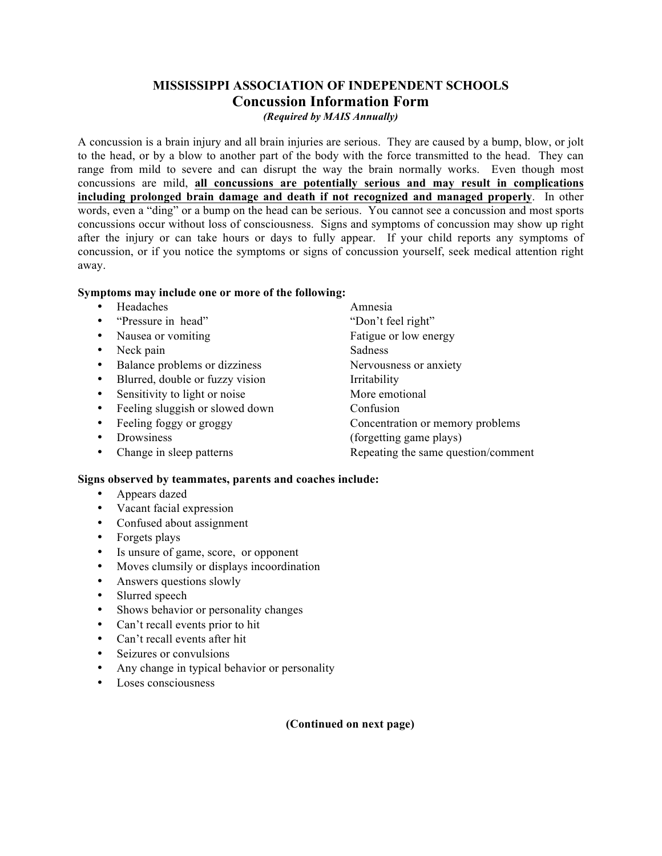# **MISSISSIPPI ASSOCIATION OF INDEPENDENT SCHOOLS Concussion Information Form** *(Required by MAIS Annually)*

A concussion is a brain injury and all brain injuries are serious. They are caused by a bump, blow, or jolt to the head, or by a blow to another part of the body with the force transmitted to the head. They can range from mild to severe and can disrupt the way the brain normally works. Even though most concussions are mild, **all concussions are potentially serious and may result in complications including prolonged brain damage and death if not recognized and managed properly**. In other words, even a "ding" or a bump on the head can be serious. You cannot see a concussion and most sports concussions occur without loss of consciousness. Signs and symptoms of concussion may show up right after the injury or can take hours or days to fully appear. If your child reports any symptoms of concussion, or if you notice the symptoms or signs of concussion yourself, seek medical attention right away.

### **Symptoms may include one or more of the following:**

- 
- Headaches Amnesia<br>
"Pressure in head" ("Don't fe
- Nausea or vomiting Fatigue or low energy
- Neck pain Sadness
- Balance problems or dizziness Nervousness or anxiety
- Blurred, double or fuzzy vision Irritability
- Sensitivity to light or noise More emotional
- Feeling sluggish or slowed down Confusion
- 
- 
- 

"Don't feel right" • Feeling foggy or groggy Concentration or memory problems • Drowsiness (forgetting game plays) • Change in sleep patterns Repeating the same question/comment

### **Signs observed by teammates, parents and coaches include:**

- Appears dazed
- Vacant facial expression
- Confused about assignment
- Forgets plays
- Is unsure of game, score, or opponent
- Moves clumsily or displays incoordination
- Answers questions slowly
- Slurred speech
- Shows behavior or personality changes
- Can't recall events prior to hit
- Can't recall events after hit
- Seizures or convulsions
- Any change in typical behavior or personality
- Loses consciousness

**(Continued on next page)**